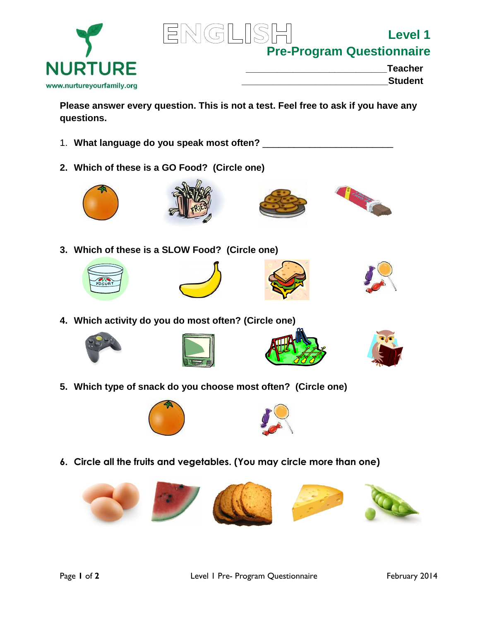



**Level 1 Pre-Program Questionnaire**

| <b>Teacher</b> |
|----------------|
|                |

www.nurtureyourfamily.org

**\_\_\_\_\_\_\_\_\_\_\_\_\_\_\_\_\_\_\_\_\_\_\_\_\_\_\_\_Student** 

**Please answer every question. This is not a test. Feel free to ask if you have any questions.**

- 1. **What language do you speak most often?** \_\_\_\_\_\_\_\_\_\_\_\_\_\_\_\_\_\_\_\_\_\_\_\_\_
- **2. Which of these is a GO Food? (Circle one)**









**3. Which of these is a SLOW Food? (Circle one)**









**4. Which activity do you do most often? (Circle one)**









**5. Which type of snack do you choose most often? (Circle one)**





**6. Circle all the fruits and vegetables. (You may circle more than one)**